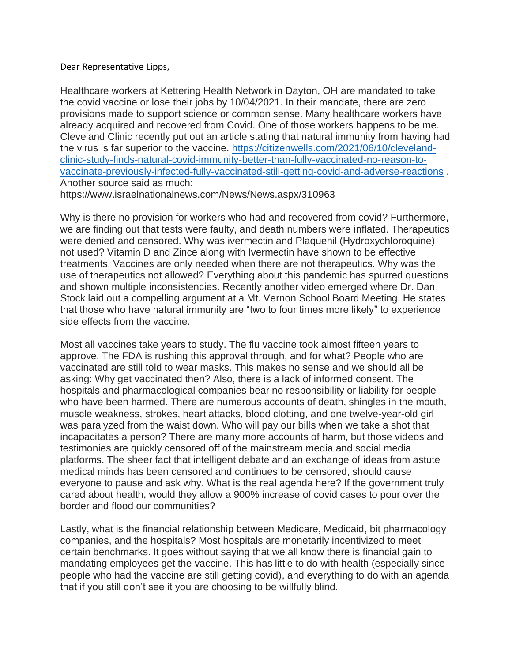## Dear Representative Lipps,

Healthcare workers at Kettering Health Network in Dayton, OH are mandated to take the covid vaccine or lose their jobs by 10/04/2021. In their mandate, there are zero provisions made to support science or common sense. Many healthcare workers have already acquired and recovered from Covid. One of those workers happens to be me. Cleveland Clinic recently put out an article stating that natural immunity from having had the virus is far superior to the vaccine. [https://citizenwells.com/2021/06/10/cleveland](https://citizenwells.com/2021/06/10/cleveland-clinic-study-finds-natural-covid-immunity-better-than-fully-vaccinated-no-reason-to-vaccinate-previously-infected-fully-vaccinated-still-getting-covid-and-adverse-reactions)[clinic-study-finds-natural-covid-immunity-better-than-fully-vaccinated-no-reason-to](https://citizenwells.com/2021/06/10/cleveland-clinic-study-finds-natural-covid-immunity-better-than-fully-vaccinated-no-reason-to-vaccinate-previously-infected-fully-vaccinated-still-getting-covid-and-adverse-reactions)[vaccinate-previously-infected-fully-vaccinated-still-getting-covid-and-adverse-reactions](https://citizenwells.com/2021/06/10/cleveland-clinic-study-finds-natural-covid-immunity-better-than-fully-vaccinated-no-reason-to-vaccinate-previously-infected-fully-vaccinated-still-getting-covid-and-adverse-reactions) . Another source said as much:

https://www.israelnationalnews.com/News/News.aspx/310963

Why is there no provision for workers who had and recovered from covid? Furthermore, we are finding out that tests were faulty, and death numbers were inflated. Therapeutics were denied and censored. Why was ivermectin and Plaquenil (Hydroxychloroquine) not used? Vitamin D and Zince along with Ivermectin have shown to be effective treatments. Vaccines are only needed when there are not therapeutics. Why was the use of therapeutics not allowed? Everything about this pandemic has spurred questions and shown multiple inconsistencies. Recently another video emerged where Dr. Dan Stock laid out a compelling argument at a Mt. Vernon School Board Meeting. He states that those who have natural immunity are "two to four times more likely" to experience side effects from the vaccine.

Most all vaccines take years to study. The flu vaccine took almost fifteen years to approve. The FDA is rushing this approval through, and for what? People who are vaccinated are still told to wear masks. This makes no sense and we should all be asking: Why get vaccinated then? Also, there is a lack of informed consent. The hospitals and pharmacological companies bear no responsibility or liability for people who have been harmed. There are numerous accounts of death, shingles in the mouth, muscle weakness, strokes, heart attacks, blood clotting, and one twelve-year-old girl was paralyzed from the waist down. Who will pay our bills when we take a shot that incapacitates a person? There are many more accounts of harm, but those videos and testimonies are quickly censored off of the mainstream media and social media platforms. The sheer fact that intelligent debate and an exchange of ideas from astute medical minds has been censored and continues to be censored, should cause everyone to pause and ask why. What is the real agenda here? If the government truly cared about health, would they allow a 900% increase of covid cases to pour over the border and flood our communities?

Lastly, what is the financial relationship between Medicare, Medicaid, bit pharmacology companies, and the hospitals? Most hospitals are monetarily incentivized to meet certain benchmarks. It goes without saying that we all know there is financial gain to mandating employees get the vaccine. This has little to do with health (especially since people who had the vaccine are still getting covid), and everything to do with an agenda that if you still don't see it you are choosing to be willfully blind.